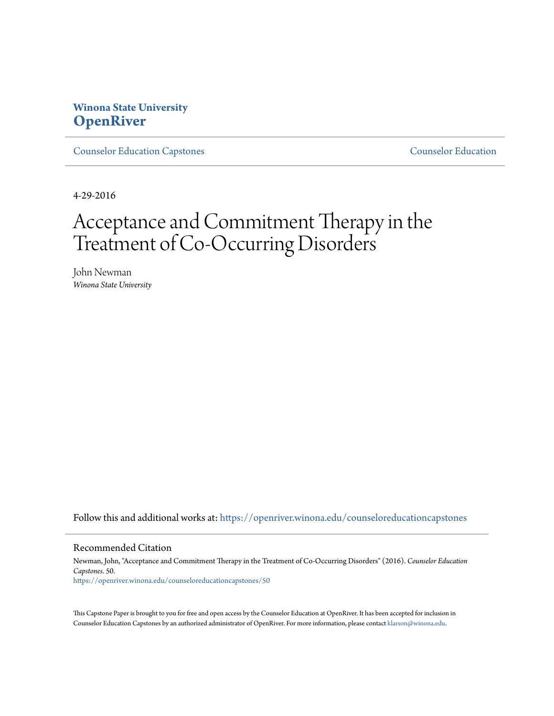## **Winona State University [OpenRiver](https://openriver.winona.edu?utm_source=openriver.winona.edu%2Fcounseloreducationcapstones%2F50&utm_medium=PDF&utm_campaign=PDFCoverPages)**

[Counselor Education Capstones](https://openriver.winona.edu/counseloreducationcapstones?utm_source=openriver.winona.edu%2Fcounseloreducationcapstones%2F50&utm_medium=PDF&utm_campaign=PDFCoverPages) [Counselor Education](https://openriver.winona.edu/counseloreducation?utm_source=openriver.winona.edu%2Fcounseloreducationcapstones%2F50&utm_medium=PDF&utm_campaign=PDFCoverPages)

4-29-2016

# Acceptance and Commitment Therapy in the Treatment of Co-Occurring Disorders

John Newman *Winona State University*

Follow this and additional works at: [https://openriver.winona.edu/counseloreducationcapstones](https://openriver.winona.edu/counseloreducationcapstones?utm_source=openriver.winona.edu%2Fcounseloreducationcapstones%2F50&utm_medium=PDF&utm_campaign=PDFCoverPages)

#### Recommended Citation

Newman, John, "Acceptance and Commitment Therapy in the Treatment of Co-Occurring Disorders" (2016). *Counselor Education Capstones*. 50. [https://openriver.winona.edu/counseloreducationcapstones/50](https://openriver.winona.edu/counseloreducationcapstones/50?utm_source=openriver.winona.edu%2Fcounseloreducationcapstones%2F50&utm_medium=PDF&utm_campaign=PDFCoverPages)

This Capstone Paper is brought to you for free and open access by the Counselor Education at OpenRiver. It has been accepted for inclusion in Counselor Education Capstones by an authorized administrator of OpenRiver. For more information, please contact [klarson@winona.edu](mailto:klarson@winona.edu).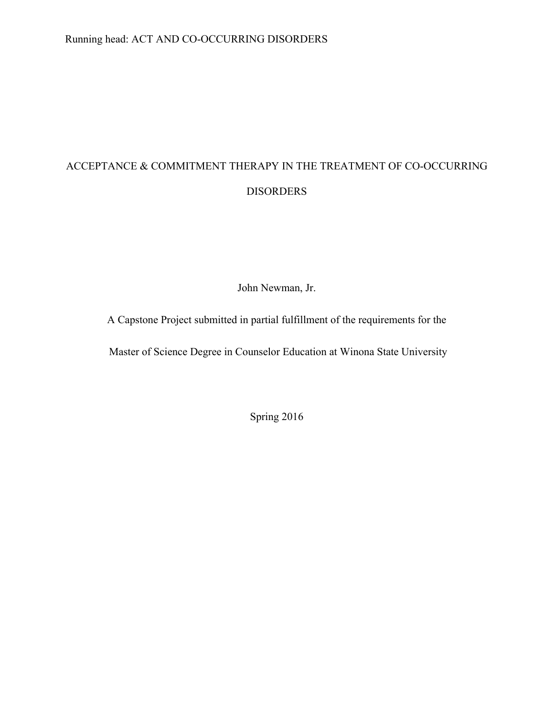# ACCEPTANCE & COMMITMENT THERAPY IN THE TREATMENT OF CO-OCCURRING DISORDERS

John Newman, Jr.

A Capstone Project submitted in partial fulfillment of the requirements for the

Master of Science Degree in Counselor Education at Winona State University

Spring 2016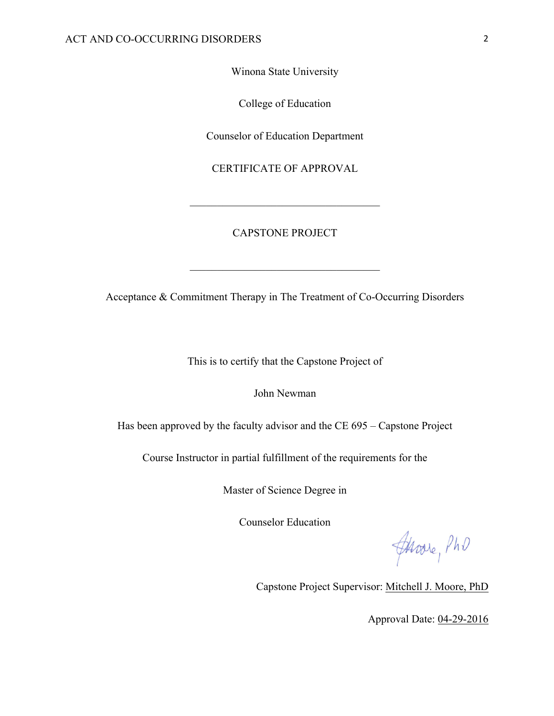Winona State University

College of Education

Counselor of Education Department

CERTIFICATE OF APPROVAL

 $\mathcal{L}_\text{max}$ 

#### CAPSTONE PROJECT

Acceptance & Commitment Therapy in The Treatment of Co-Occurring Disorders

 $\mathcal{L}_\text{max}$ 

This is to certify that the Capstone Project of

John Newman

Has been approved by the faculty advisor and the CE 695 – Capstone Project

Course Instructor in partial fulfillment of the requirements for the

Master of Science Degree in

Counselor Education

Javare, PhD

Capstone Project Supervisor: Mitchell J. Moore, PhD

Approval Date: 04-29-2016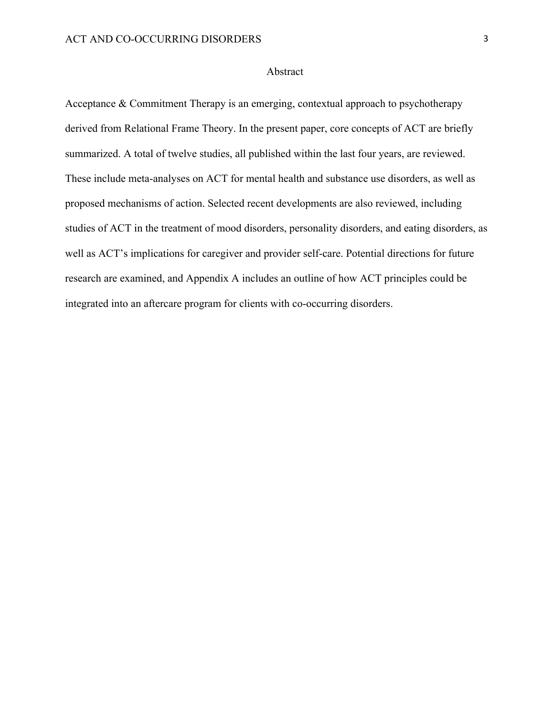#### Abstract

Acceptance & Commitment Therapy is an emerging, contextual approach to psychotherapy derived from Relational Frame Theory. In the present paper, core concepts of ACT are briefly summarized. A total of twelve studies, all published within the last four years, are reviewed. These include meta-analyses on ACT for mental health and substance use disorders, as well as proposed mechanisms of action. Selected recent developments are also reviewed, including studies of ACT in the treatment of mood disorders, personality disorders, and eating disorders, as well as ACT's implications for caregiver and provider self-care. Potential directions for future research are examined, and Appendix A includes an outline of how ACT principles could be integrated into an aftercare program for clients with co-occurring disorders.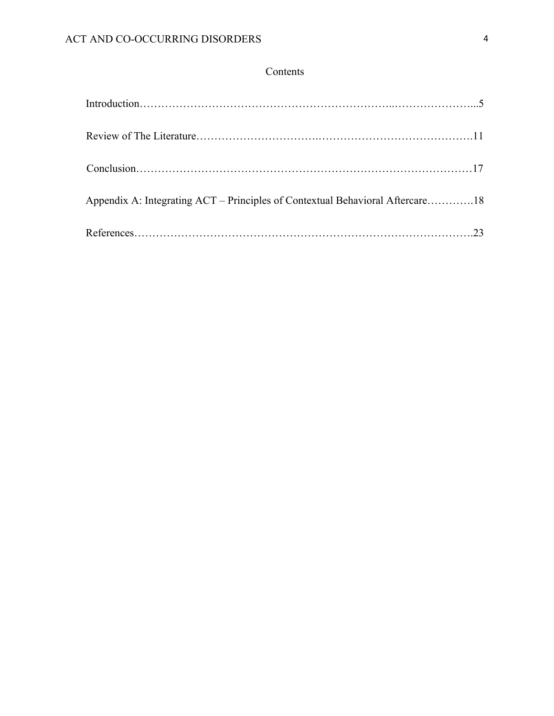## Contents

| Appendix A: Integrating ACT - Principles of Contextual Behavioral Aftercare18 |  |
|-------------------------------------------------------------------------------|--|
|                                                                               |  |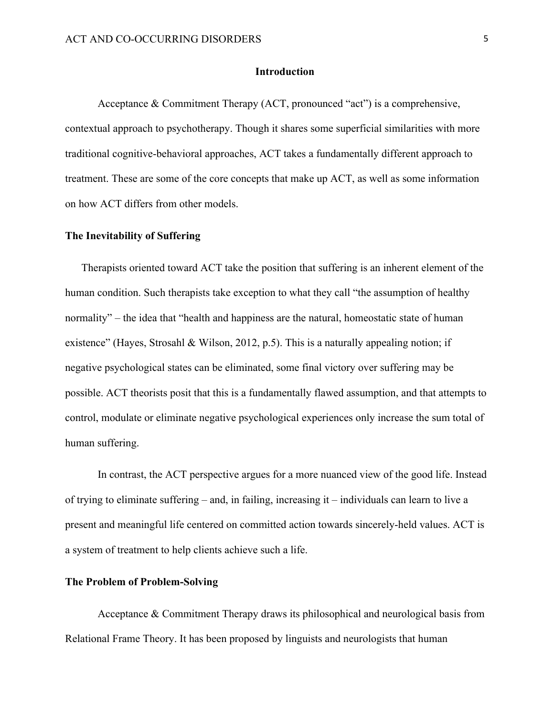#### **Introduction**

Acceptance & Commitment Therapy (ACT, pronounced "act") is a comprehensive, contextual approach to psychotherapy. Though it shares some superficial similarities with more traditional cognitive-behavioral approaches, ACT takes a fundamentally different approach to treatment. These are some of the core concepts that make up ACT, as well as some information on how ACT differs from other models.

#### **The Inevitability of Suffering**

Therapists oriented toward ACT take the position that suffering is an inherent element of the human condition. Such therapists take exception to what they call "the assumption of healthy normality" – the idea that "health and happiness are the natural, homeostatic state of human existence" (Hayes, Strosahl & Wilson, 2012, p.5). This is a naturally appealing notion; if negative psychological states can be eliminated, some final victory over suffering may be possible. ACT theorists posit that this is a fundamentally flawed assumption, and that attempts to control, modulate or eliminate negative psychological experiences only increase the sum total of human suffering.

In contrast, the ACT perspective argues for a more nuanced view of the good life. Instead of trying to eliminate suffering – and, in failing, increasing it – individuals can learn to live a present and meaningful life centered on committed action towards sincerely-held values. ACT is a system of treatment to help clients achieve such a life.

#### **The Problem of Problem-Solving**

Acceptance & Commitment Therapy draws its philosophical and neurological basis from Relational Frame Theory. It has been proposed by linguists and neurologists that human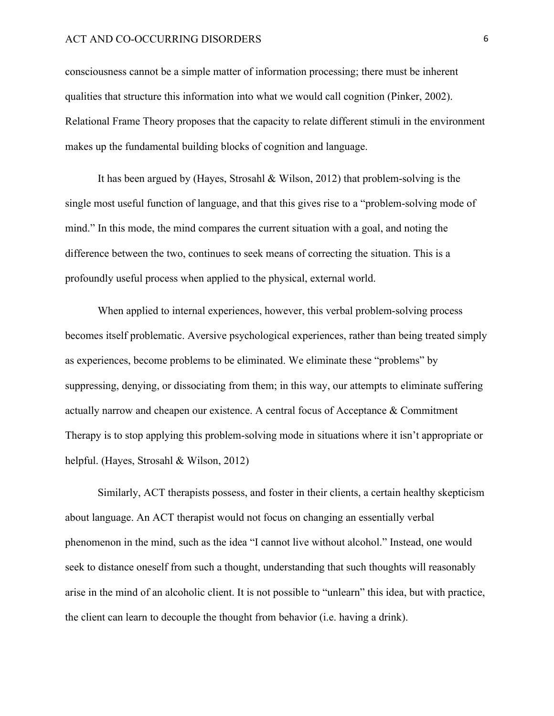consciousness cannot be a simple matter of information processing; there must be inherent qualities that structure this information into what we would call cognition (Pinker, 2002). Relational Frame Theory proposes that the capacity to relate different stimuli in the environment makes up the fundamental building blocks of cognition and language.

It has been argued by (Hayes, Strosahl & Wilson, 2012) that problem-solving is the single most useful function of language, and that this gives rise to a "problem-solving mode of mind." In this mode, the mind compares the current situation with a goal, and noting the difference between the two, continues to seek means of correcting the situation. This is a profoundly useful process when applied to the physical, external world.

When applied to internal experiences, however, this verbal problem-solving process becomes itself problematic. Aversive psychological experiences, rather than being treated simply as experiences, become problems to be eliminated. We eliminate these "problems" by suppressing, denying, or dissociating from them; in this way, our attempts to eliminate suffering actually narrow and cheapen our existence. A central focus of Acceptance & Commitment Therapy is to stop applying this problem-solving mode in situations where it isn't appropriate or helpful. (Hayes, Strosahl & Wilson, 2012)

Similarly, ACT therapists possess, and foster in their clients, a certain healthy skepticism about language. An ACT therapist would not focus on changing an essentially verbal phenomenon in the mind, such as the idea "I cannot live without alcohol." Instead, one would seek to distance oneself from such a thought, understanding that such thoughts will reasonably arise in the mind of an alcoholic client. It is not possible to "unlearn" this idea, but with practice, the client can learn to decouple the thought from behavior (i.e. having a drink).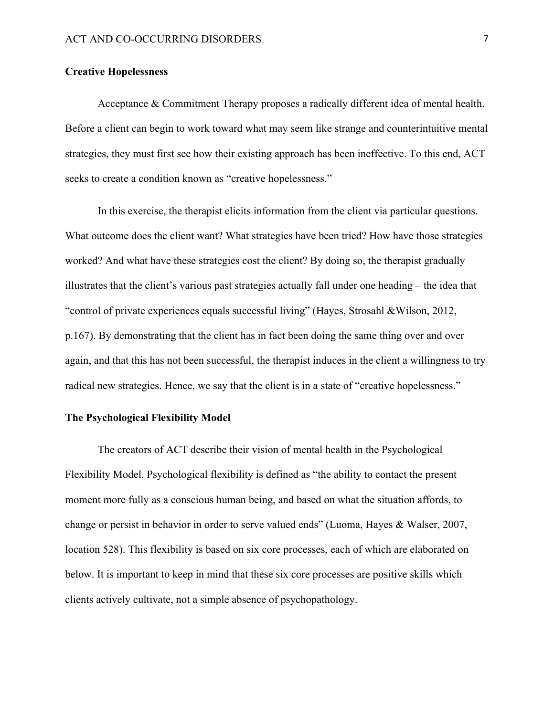#### **Creative Hopelessness**

Acceptance & Commitment Therapy proposes a radically different idea of mental health. Before a client can begin to work toward what may seem like strange and counterintuitive mental strategies, they must first see how their existing approach has been ineffective. To this end, ACT seeks to create a condition known as "creative hopelessness."

In this exercise, the therapist elicits information from the client via particular questions. What outcome does the client want? What strategies have been tried? How have those strategies worked? And what have these strategies cost the client? By doing so, the therapist gradually illustrates that the client's various past strategies actually fall under one heading – the idea that "control of private experiences equals successful living" (Hayes, Strosahl &Wilson, 2012, p.167). By demonstrating that the client has in fact been doing the same thing over and over again, and that this has not been successful, the therapist induces in the client a willingness to try radical new strategies. Hence, we say that the client is in a state of "creative hopelessness."

#### **The Psychological Flexibility Model**

The creators of ACT describe their vision of mental health in the Psychological Flexibility Model. Psychological flexibility is defined as "the ability to contact the present moment more fully as a conscious human being, and based on what the situation affords, to change or persist in behavior in order to serve valued ends" (Luoma, Hayes & Walser, 2007, location 528). This flexibility is based on six core processes, each of which are elaborated on below. It is important to keep in mind that these six core processes are positive skills which clients actively cultivate, not a simple absence of psychopathology.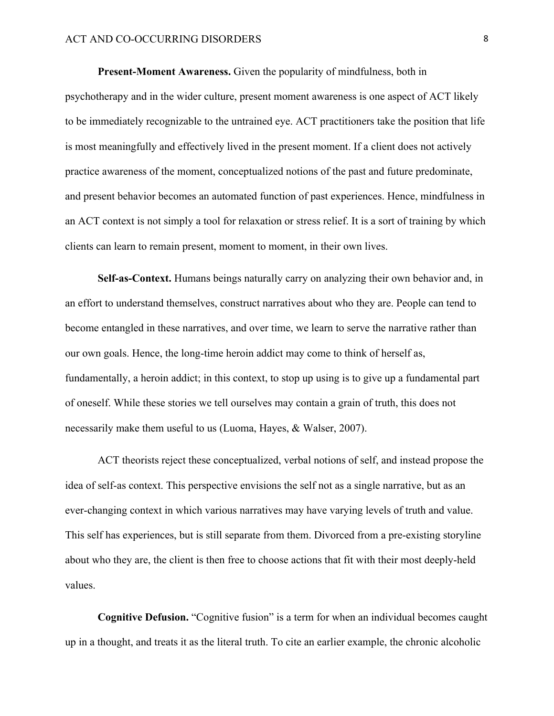**Present-Moment Awareness.** Given the popularity of mindfulness, both in psychotherapy and in the wider culture, present moment awareness is one aspect of ACT likely to be immediately recognizable to the untrained eye. ACT practitioners take the position that life is most meaningfully and effectively lived in the present moment. If a client does not actively practice awareness of the moment, conceptualized notions of the past and future predominate, and present behavior becomes an automated function of past experiences. Hence, mindfulness in an ACT context is not simply a tool for relaxation or stress relief. It is a sort of training by which clients can learn to remain present, moment to moment, in their own lives.

**Self-as-Context.** Humans beings naturally carry on analyzing their own behavior and, in an effort to understand themselves, construct narratives about who they are. People can tend to become entangled in these narratives, and over time, we learn to serve the narrative rather than our own goals. Hence, the long-time heroin addict may come to think of herself as, fundamentally, a heroin addict; in this context, to stop up using is to give up a fundamental part of oneself. While these stories we tell ourselves may contain a grain of truth, this does not necessarily make them useful to us (Luoma, Hayes, & Walser, 2007).

ACT theorists reject these conceptualized, verbal notions of self, and instead propose the idea of self-as context. This perspective envisions the self not as a single narrative, but as an ever-changing context in which various narratives may have varying levels of truth and value. This self has experiences, but is still separate from them. Divorced from a pre-existing storyline about who they are, the client is then free to choose actions that fit with their most deeply-held values.

**Cognitive Defusion.** "Cognitive fusion" is a term for when an individual becomes caught up in a thought, and treats it as the literal truth. To cite an earlier example, the chronic alcoholic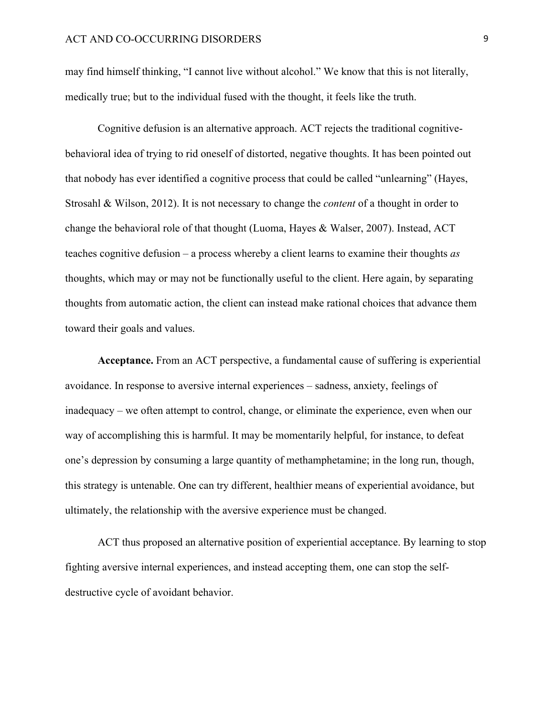may find himself thinking, "I cannot live without alcohol." We know that this is not literally, medically true; but to the individual fused with the thought, it feels like the truth.

Cognitive defusion is an alternative approach. ACT rejects the traditional cognitivebehavioral idea of trying to rid oneself of distorted, negative thoughts. It has been pointed out that nobody has ever identified a cognitive process that could be called "unlearning" (Hayes, Strosahl & Wilson, 2012). It is not necessary to change the *content* of a thought in order to change the behavioral role of that thought (Luoma, Hayes & Walser, 2007). Instead, ACT teaches cognitive defusion – a process whereby a client learns to examine their thoughts *as*  thoughts, which may or may not be functionally useful to the client. Here again, by separating thoughts from automatic action, the client can instead make rational choices that advance them toward their goals and values.

**Acceptance.** From an ACT perspective, a fundamental cause of suffering is experiential avoidance. In response to aversive internal experiences – sadness, anxiety, feelings of inadequacy – we often attempt to control, change, or eliminate the experience, even when our way of accomplishing this is harmful. It may be momentarily helpful, for instance, to defeat one's depression by consuming a large quantity of methamphetamine; in the long run, though, this strategy is untenable. One can try different, healthier means of experiential avoidance, but ultimately, the relationship with the aversive experience must be changed.

ACT thus proposed an alternative position of experiential acceptance. By learning to stop fighting aversive internal experiences, and instead accepting them, one can stop the selfdestructive cycle of avoidant behavior.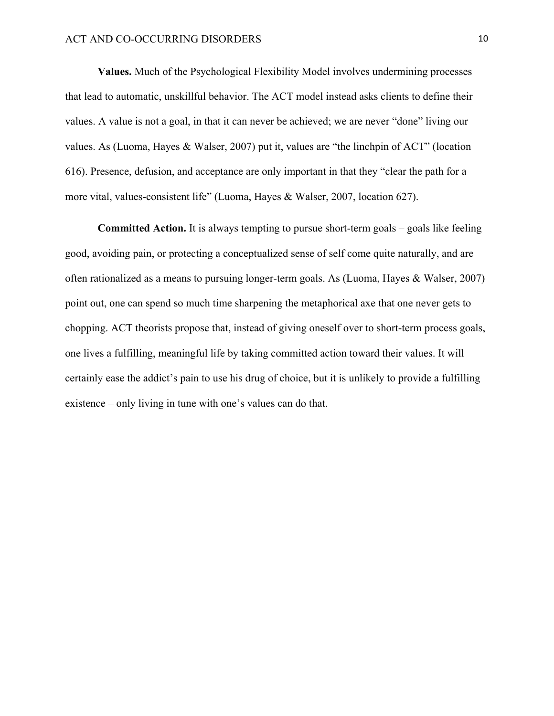**Values.** Much of the Psychological Flexibility Model involves undermining processes that lead to automatic, unskillful behavior. The ACT model instead asks clients to define their values. A value is not a goal, in that it can never be achieved; we are never "done" living our values. As (Luoma, Hayes & Walser, 2007) put it, values are "the linchpin of ACT" (location 616). Presence, defusion, and acceptance are only important in that they "clear the path for a more vital, values-consistent life" (Luoma, Hayes & Walser, 2007, location 627).

**Committed Action.** It is always tempting to pursue short-term goals – goals like feeling good, avoiding pain, or protecting a conceptualized sense of self come quite naturally, and are often rationalized as a means to pursuing longer-term goals. As (Luoma, Hayes & Walser, 2007) point out, one can spend so much time sharpening the metaphorical axe that one never gets to chopping. ACT theorists propose that, instead of giving oneself over to short-term process goals, one lives a fulfilling, meaningful life by taking committed action toward their values. It will certainly ease the addict's pain to use his drug of choice, but it is unlikely to provide a fulfilling existence – only living in tune with one's values can do that.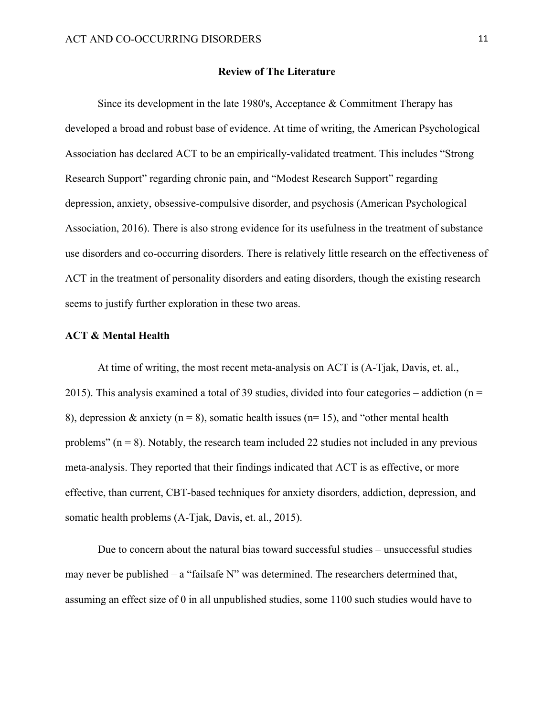#### **Review of The Literature**

Since its development in the late 1980's, Acceptance  $&$  Commitment Therapy has developed a broad and robust base of evidence. At time of writing, the American Psychological Association has declared ACT to be an empirically-validated treatment. This includes "Strong Research Support" regarding chronic pain, and "Modest Research Support" regarding depression, anxiety, obsessive-compulsive disorder, and psychosis (American Psychological Association, 2016). There is also strong evidence for its usefulness in the treatment of substance use disorders and co-occurring disorders. There is relatively little research on the effectiveness of ACT in the treatment of personality disorders and eating disorders, though the existing research seems to justify further exploration in these two areas.

#### **ACT & Mental Health**

At time of writing, the most recent meta-analysis on ACT is (A-Tjak, Davis, et. al., 2015). This analysis examined a total of 39 studies, divided into four categories – addiction ( $n =$ 8), depression & anxiety ( $n = 8$ ), somatic health issues ( $n = 15$ ), and "other mental health problems" ( $n = 8$ ). Notably, the research team included 22 studies not included in any previous meta-analysis. They reported that their findings indicated that ACT is as effective, or more effective, than current, CBT-based techniques for anxiety disorders, addiction, depression, and somatic health problems (A-Tjak, Davis, et. al., 2015).

Due to concern about the natural bias toward successful studies – unsuccessful studies may never be published – a "failsafe N" was determined. The researchers determined that, assuming an effect size of 0 in all unpublished studies, some 1100 such studies would have to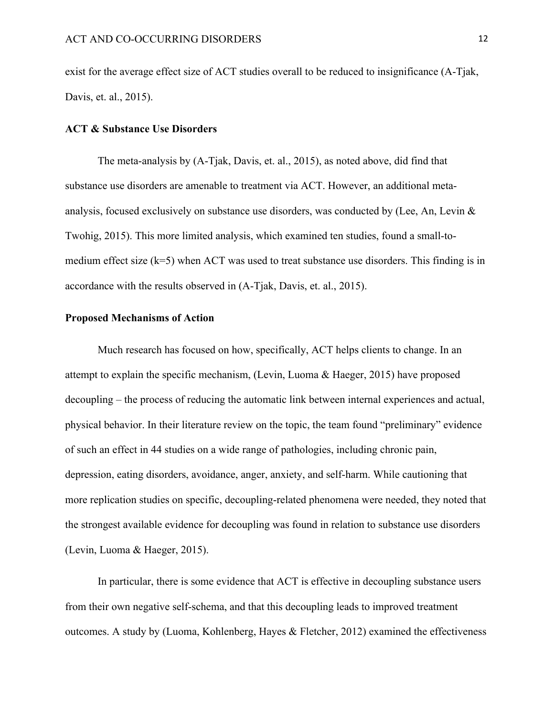exist for the average effect size of ACT studies overall to be reduced to insignificance (A-Tjak, Davis, et. al., 2015).

#### **ACT & Substance Use Disorders**

The meta-analysis by (A-Tjak, Davis, et. al., 2015), as noted above, did find that substance use disorders are amenable to treatment via ACT. However, an additional metaanalysis, focused exclusively on substance use disorders, was conducted by (Lee, An, Levin & Twohig, 2015). This more limited analysis, which examined ten studies, found a small-tomedium effect size (k=5) when ACT was used to treat substance use disorders. This finding is in accordance with the results observed in (A-Tjak, Davis, et. al., 2015).

#### **Proposed Mechanisms of Action**

Much research has focused on how, specifically, ACT helps clients to change. In an attempt to explain the specific mechanism, (Levin, Luoma & Haeger, 2015) have proposed decoupling – the process of reducing the automatic link between internal experiences and actual, physical behavior. In their literature review on the topic, the team found "preliminary" evidence of such an effect in 44 studies on a wide range of pathologies, including chronic pain, depression, eating disorders, avoidance, anger, anxiety, and self-harm. While cautioning that more replication studies on specific, decoupling-related phenomena were needed, they noted that the strongest available evidence for decoupling was found in relation to substance use disorders (Levin, Luoma & Haeger, 2015).

In particular, there is some evidence that ACT is effective in decoupling substance users from their own negative self-schema, and that this decoupling leads to improved treatment outcomes. A study by (Luoma, Kohlenberg, Hayes & Fletcher, 2012) examined the effectiveness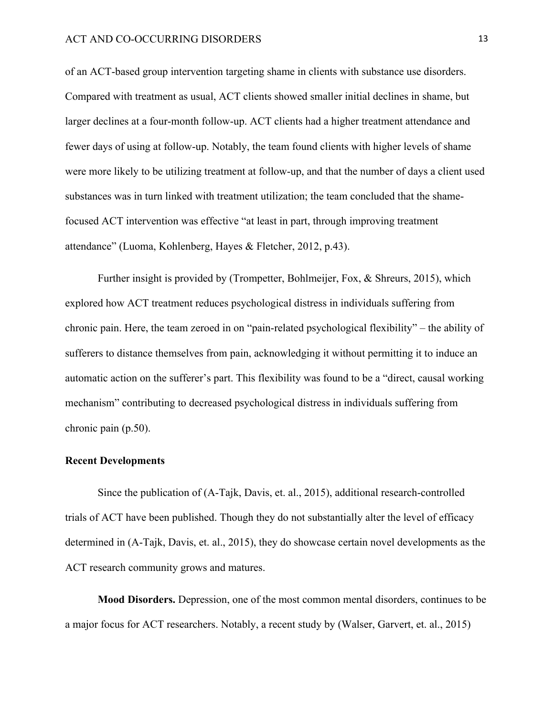of an ACT-based group intervention targeting shame in clients with substance use disorders. Compared with treatment as usual, ACT clients showed smaller initial declines in shame, but larger declines at a four-month follow-up. ACT clients had a higher treatment attendance and fewer days of using at follow-up. Notably, the team found clients with higher levels of shame were more likely to be utilizing treatment at follow-up, and that the number of days a client used substances was in turn linked with treatment utilization; the team concluded that the shamefocused ACT intervention was effective "at least in part, through improving treatment attendance" (Luoma, Kohlenberg, Hayes & Fletcher, 2012, p.43).

Further insight is provided by (Trompetter, Bohlmeijer, Fox, & Shreurs, 2015), which explored how ACT treatment reduces psychological distress in individuals suffering from chronic pain. Here, the team zeroed in on "pain-related psychological flexibility" – the ability of sufferers to distance themselves from pain, acknowledging it without permitting it to induce an automatic action on the sufferer's part. This flexibility was found to be a "direct, causal working mechanism" contributing to decreased psychological distress in individuals suffering from chronic pain (p.50).

#### **Recent Developments**

Since the publication of (A-Tajk, Davis, et. al., 2015), additional research-controlled trials of ACT have been published. Though they do not substantially alter the level of efficacy determined in (A-Tajk, Davis, et. al., 2015), they do showcase certain novel developments as the ACT research community grows and matures.

**Mood Disorders.** Depression, one of the most common mental disorders, continues to be a major focus for ACT researchers. Notably, a recent study by (Walser, Garvert, et. al., 2015)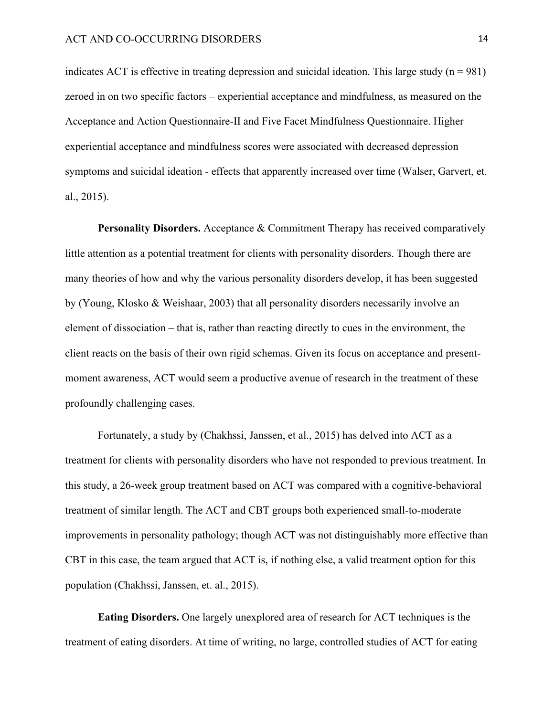indicates ACT is effective in treating depression and suicidal ideation. This large study  $(n = 981)$ zeroed in on two specific factors – experiential acceptance and mindfulness, as measured on the Acceptance and Action Questionnaire-II and Five Facet Mindfulness Questionnaire. Higher experiential acceptance and mindfulness scores were associated with decreased depression symptoms and suicidal ideation - effects that apparently increased over time (Walser, Garvert, et. al., 2015).

**Personality Disorders.** Acceptance & Commitment Therapy has received comparatively little attention as a potential treatment for clients with personality disorders. Though there are many theories of how and why the various personality disorders develop, it has been suggested by (Young, Klosko & Weishaar, 2003) that all personality disorders necessarily involve an element of dissociation – that is, rather than reacting directly to cues in the environment, the client reacts on the basis of their own rigid schemas. Given its focus on acceptance and presentmoment awareness, ACT would seem a productive avenue of research in the treatment of these profoundly challenging cases.

Fortunately, a study by (Chakhssi, Janssen, et al., 2015) has delved into ACT as a treatment for clients with personality disorders who have not responded to previous treatment. In this study, a 26-week group treatment based on ACT was compared with a cognitive-behavioral treatment of similar length. The ACT and CBT groups both experienced small-to-moderate improvements in personality pathology; though ACT was not distinguishably more effective than CBT in this case, the team argued that ACT is, if nothing else, a valid treatment option for this population (Chakhssi, Janssen, et. al., 2015).

**Eating Disorders.** One largely unexplored area of research for ACT techniques is the treatment of eating disorders. At time of writing, no large, controlled studies of ACT for eating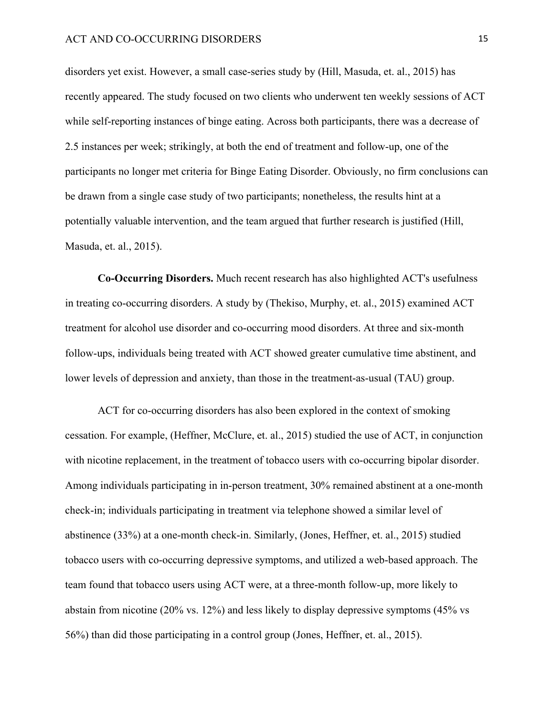disorders yet exist. However, a small case-series study by (Hill, Masuda, et. al., 2015) has recently appeared. The study focused on two clients who underwent ten weekly sessions of ACT while self-reporting instances of binge eating. Across both participants, there was a decrease of 2.5 instances per week; strikingly, at both the end of treatment and follow-up, one of the participants no longer met criteria for Binge Eating Disorder. Obviously, no firm conclusions can be drawn from a single case study of two participants; nonetheless, the results hint at a potentially valuable intervention, and the team argued that further research is justified (Hill, Masuda, et. al., 2015).

**Co-Occurring Disorders.** Much recent research has also highlighted ACT's usefulness in treating co-occurring disorders. A study by (Thekiso, Murphy, et. al., 2015) examined ACT treatment for alcohol use disorder and co-occurring mood disorders. At three and six-month follow-ups, individuals being treated with ACT showed greater cumulative time abstinent, and lower levels of depression and anxiety, than those in the treatment-as-usual (TAU) group.

ACT for co-occurring disorders has also been explored in the context of smoking cessation. For example, (Heffner, McClure, et. al., 2015) studied the use of ACT, in conjunction with nicotine replacement, in the treatment of tobacco users with co-occurring bipolar disorder. Among individuals participating in in-person treatment, 30% remained abstinent at a one-month check-in; individuals participating in treatment via telephone showed a similar level of abstinence (33%) at a one-month check-in. Similarly, (Jones, Heffner, et. al., 2015) studied tobacco users with co-occurring depressive symptoms, and utilized a web-based approach. The team found that tobacco users using ACT were, at a three-month follow-up, more likely to abstain from nicotine (20% vs. 12%) and less likely to display depressive symptoms (45% vs 56%) than did those participating in a control group (Jones, Heffner, et. al., 2015).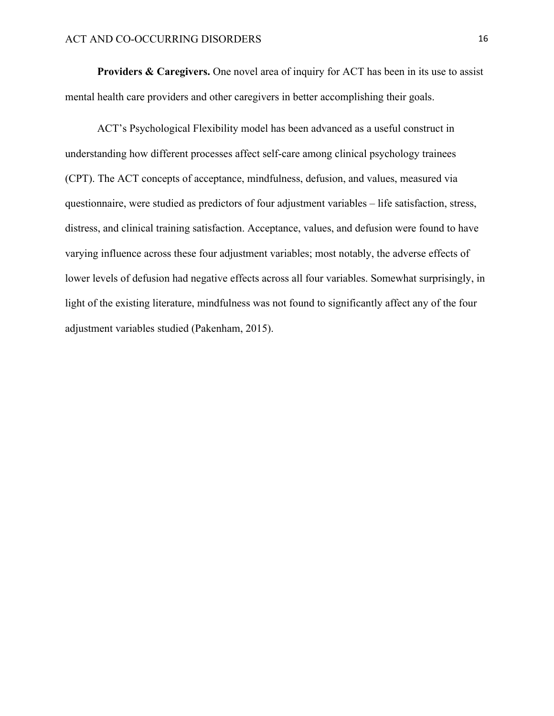**Providers & Caregivers.** One novel area of inquiry for ACT has been in its use to assist mental health care providers and other caregivers in better accomplishing their goals.

ACT's Psychological Flexibility model has been advanced as a useful construct in understanding how different processes affect self-care among clinical psychology trainees (CPT). The ACT concepts of acceptance, mindfulness, defusion, and values, measured via questionnaire, were studied as predictors of four adjustment variables – life satisfaction, stress, distress, and clinical training satisfaction. Acceptance, values, and defusion were found to have varying influence across these four adjustment variables; most notably, the adverse effects of lower levels of defusion had negative effects across all four variables. Somewhat surprisingly, in light of the existing literature, mindfulness was not found to significantly affect any of the four adjustment variables studied (Pakenham, 2015).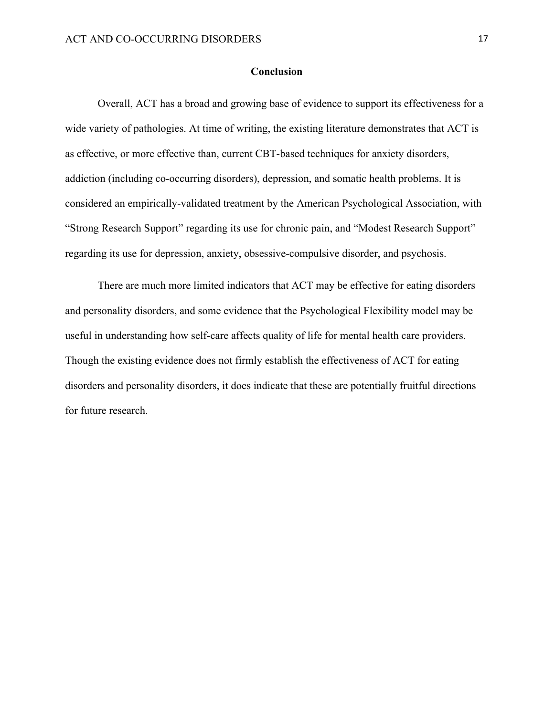#### **Conclusion**

Overall, ACT has a broad and growing base of evidence to support its effectiveness for a wide variety of pathologies. At time of writing, the existing literature demonstrates that ACT is as effective, or more effective than, current CBT-based techniques for anxiety disorders, addiction (including co-occurring disorders), depression, and somatic health problems. It is considered an empirically-validated treatment by the American Psychological Association, with "Strong Research Support" regarding its use for chronic pain, and "Modest Research Support" regarding its use for depression, anxiety, obsessive-compulsive disorder, and psychosis.

There are much more limited indicators that ACT may be effective for eating disorders and personality disorders, and some evidence that the Psychological Flexibility model may be useful in understanding how self-care affects quality of life for mental health care providers. Though the existing evidence does not firmly establish the effectiveness of ACT for eating disorders and personality disorders, it does indicate that these are potentially fruitful directions for future research.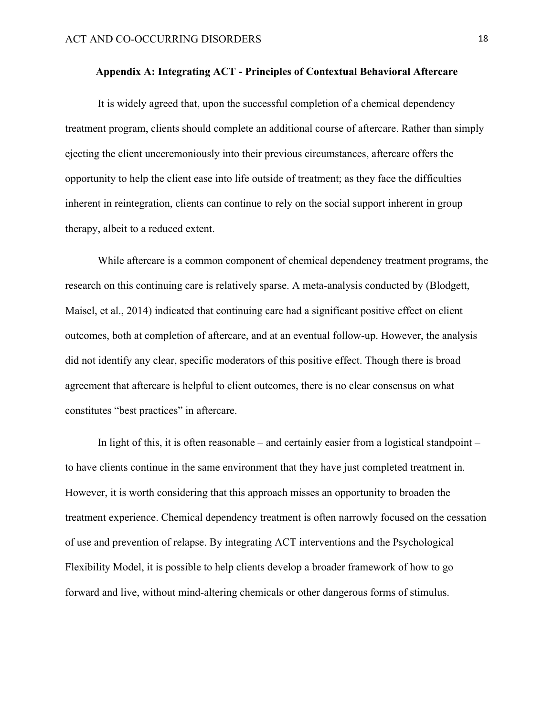#### **Appendix A: Integrating ACT - Principles of Contextual Behavioral Aftercare**

It is widely agreed that, upon the successful completion of a chemical dependency treatment program, clients should complete an additional course of aftercare. Rather than simply ejecting the client unceremoniously into their previous circumstances, aftercare offers the opportunity to help the client ease into life outside of treatment; as they face the difficulties inherent in reintegration, clients can continue to rely on the social support inherent in group therapy, albeit to a reduced extent.

While aftercare is a common component of chemical dependency treatment programs, the research on this continuing care is relatively sparse. A meta-analysis conducted by (Blodgett, Maisel, et al., 2014) indicated that continuing care had a significant positive effect on client outcomes, both at completion of aftercare, and at an eventual follow-up. However, the analysis did not identify any clear, specific moderators of this positive effect. Though there is broad agreement that aftercare is helpful to client outcomes, there is no clear consensus on what constitutes "best practices" in aftercare.

In light of this, it is often reasonable – and certainly easier from a logistical standpoint – to have clients continue in the same environment that they have just completed treatment in. However, it is worth considering that this approach misses an opportunity to broaden the treatment experience. Chemical dependency treatment is often narrowly focused on the cessation of use and prevention of relapse. By integrating ACT interventions and the Psychological Flexibility Model, it is possible to help clients develop a broader framework of how to go forward and live, without mind-altering chemicals or other dangerous forms of stimulus.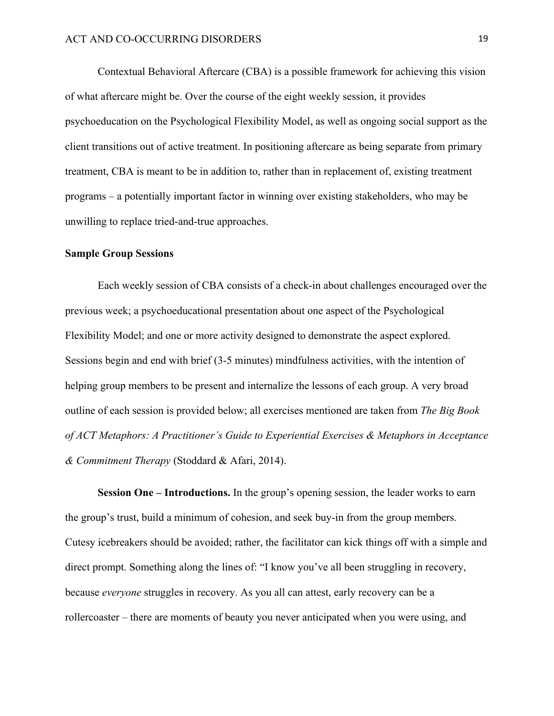Contextual Behavioral Aftercare (CBA) is a possible framework for achieving this vision of what aftercare might be. Over the course of the eight weekly session, it provides psychoeducation on the Psychological Flexibility Model, as well as ongoing social support as the client transitions out of active treatment. In positioning aftercare as being separate from primary treatment, CBA is meant to be in addition to, rather than in replacement of, existing treatment programs – a potentially important factor in winning over existing stakeholders, who may be unwilling to replace tried-and-true approaches.

#### **Sample Group Sessions**

Each weekly session of CBA consists of a check-in about challenges encouraged over the previous week; a psychoeducational presentation about one aspect of the Psychological Flexibility Model; and one or more activity designed to demonstrate the aspect explored. Sessions begin and end with brief (3-5 minutes) mindfulness activities, with the intention of helping group members to be present and internalize the lessons of each group. A very broad outline of each session is provided below; all exercises mentioned are taken from *The Big Book of ACT Metaphors: A Practitioner's Guide to Experiential Exercises & Metaphors in Acceptance & Commitment Therapy* (Stoddard & Afari, 2014).

**Session One – Introductions.** In the group's opening session, the leader works to earn the group's trust, build a minimum of cohesion, and seek buy-in from the group members. Cutesy icebreakers should be avoided; rather, the facilitator can kick things off with a simple and direct prompt. Something along the lines of: "I know you've all been struggling in recovery, because *everyone* struggles in recovery. As you all can attest, early recovery can be a rollercoaster – there are moments of beauty you never anticipated when you were using, and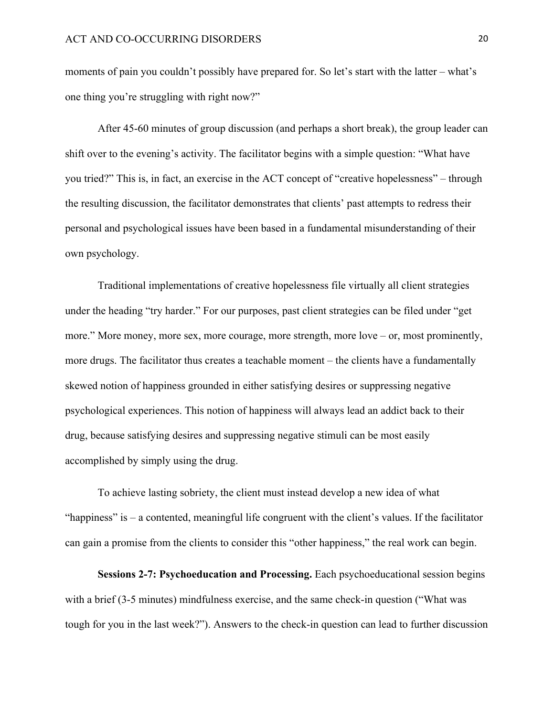moments of pain you couldn't possibly have prepared for. So let's start with the latter – what's one thing you're struggling with right now?"

After 45-60 minutes of group discussion (and perhaps a short break), the group leader can shift over to the evening's activity. The facilitator begins with a simple question: "What have you tried?" This is, in fact, an exercise in the ACT concept of "creative hopelessness" – through the resulting discussion, the facilitator demonstrates that clients' past attempts to redress their personal and psychological issues have been based in a fundamental misunderstanding of their own psychology.

Traditional implementations of creative hopelessness file virtually all client strategies under the heading "try harder." For our purposes, past client strategies can be filed under "get more." More money, more sex, more courage, more strength, more love – or, most prominently, more drugs. The facilitator thus creates a teachable moment – the clients have a fundamentally skewed notion of happiness grounded in either satisfying desires or suppressing negative psychological experiences. This notion of happiness will always lead an addict back to their drug, because satisfying desires and suppressing negative stimuli can be most easily accomplished by simply using the drug.

To achieve lasting sobriety, the client must instead develop a new idea of what "happiness" is – a contented, meaningful life congruent with the client's values. If the facilitator can gain a promise from the clients to consider this "other happiness," the real work can begin.

**Sessions 2-7: Psychoeducation and Processing.** Each psychoeducational session begins with a brief (3-5 minutes) mindfulness exercise, and the same check-in question ("What was tough for you in the last week?"). Answers to the check-in question can lead to further discussion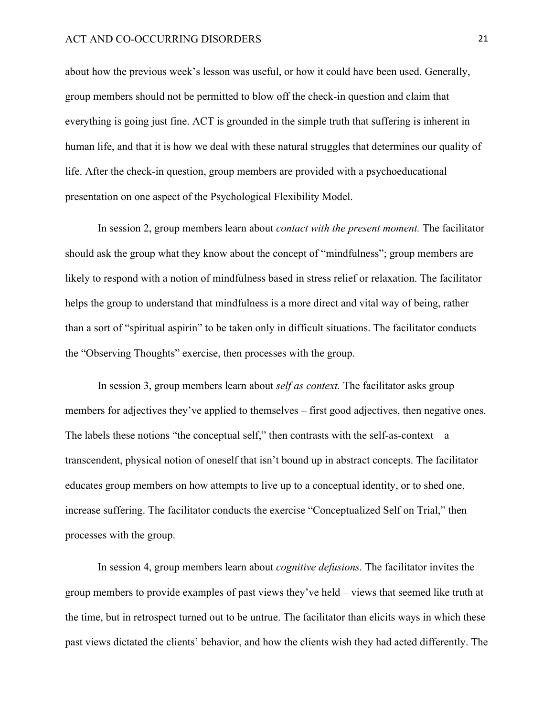about how the previous week's lesson was useful, or how it could have been used. Generally, group members should not be permitted to blow off the check-in question and claim that everything is going just fine. ACT is grounded in the simple truth that suffering is inherent in human life, and that it is how we deal with these natural struggles that determines our quality of life. After the check-in question, group members are provided with a psychoeducational presentation on one aspect of the Psychological Flexibility Model.

In session 2, group members learn about *contact with the present moment.* The facilitator should ask the group what they know about the concept of "mindfulness"; group members are likely to respond with a notion of mindfulness based in stress relief or relaxation. The facilitator helps the group to understand that mindfulness is a more direct and vital way of being, rather than a sort of "spiritual aspirin" to be taken only in difficult situations. The facilitator conducts the "Observing Thoughts" exercise, then processes with the group.

In session 3, group members learn about *self as context.* The facilitator asks group members for adjectives they've applied to themselves – first good adjectives, then negative ones. The labels these notions "the conceptual self," then contrasts with the self-as-context – a transcendent, physical notion of oneself that isn't bound up in abstract concepts. The facilitator educates group members on how attempts to live up to a conceptual identity, or to shed one, increase suffering. The facilitator conducts the exercise "Conceptualized Self on Trial," then processes with the group.

In session 4, group members learn about *cognitive defusions.* The facilitator invites the group members to provide examples of past views they've held – views that seemed like truth at the time, but in retrospect turned out to be untrue. The facilitator than elicits ways in which these past views dictated the clients' behavior, and how the clients wish they had acted differently. The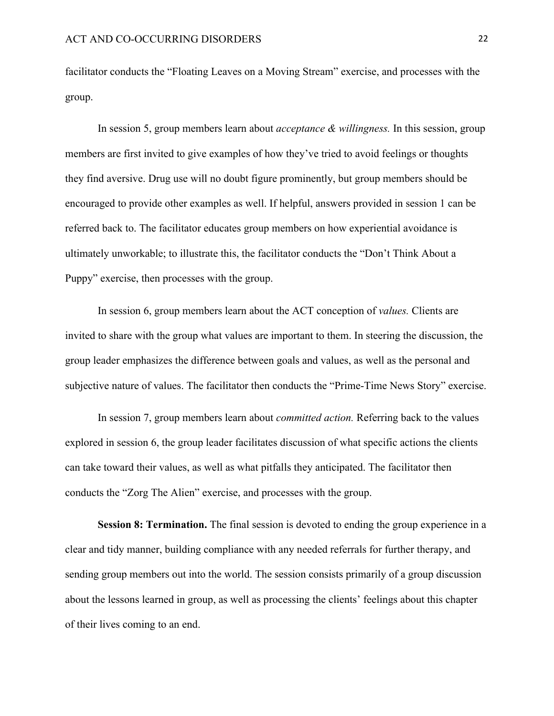facilitator conducts the "Floating Leaves on a Moving Stream" exercise, and processes with the group.

In session 5, group members learn about *acceptance & willingness.* In this session, group members are first invited to give examples of how they've tried to avoid feelings or thoughts they find aversive. Drug use will no doubt figure prominently, but group members should be encouraged to provide other examples as well. If helpful, answers provided in session 1 can be referred back to. The facilitator educates group members on how experiential avoidance is ultimately unworkable; to illustrate this, the facilitator conducts the "Don't Think About a Puppy" exercise, then processes with the group.

In session 6, group members learn about the ACT conception of *values.* Clients are invited to share with the group what values are important to them. In steering the discussion, the group leader emphasizes the difference between goals and values, as well as the personal and subjective nature of values. The facilitator then conducts the "Prime-Time News Story" exercise.

In session 7, group members learn about *committed action.* Referring back to the values explored in session 6, the group leader facilitates discussion of what specific actions the clients can take toward their values, as well as what pitfalls they anticipated. The facilitator then conducts the "Zorg The Alien" exercise, and processes with the group.

**Session 8: Termination.** The final session is devoted to ending the group experience in a clear and tidy manner, building compliance with any needed referrals for further therapy, and sending group members out into the world. The session consists primarily of a group discussion about the lessons learned in group, as well as processing the clients' feelings about this chapter of their lives coming to an end.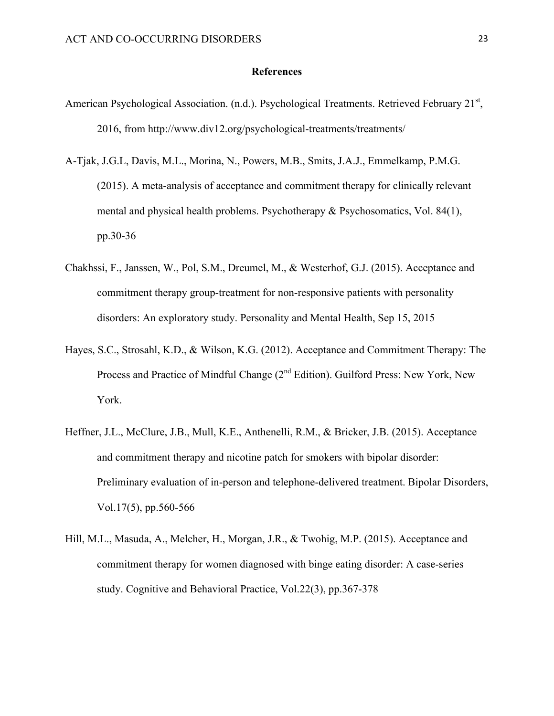#### **References**

- American Psychological Association. (n.d.). Psychological Treatments. Retrieved February 21<sup>st</sup>, 2016, from http://www.div12.org/psychological-treatments/treatments/
- A-Tjak, J.G.L, Davis, M.L., Morina, N., Powers, M.B., Smits, J.A.J., Emmelkamp, P.M.G. (2015). A meta-analysis of acceptance and commitment therapy for clinically relevant mental and physical health problems. Psychotherapy & Psychosomatics, Vol. 84(1), pp.30-36
- Chakhssi, F., Janssen, W., Pol, S.M., Dreumel, M., & Westerhof, G.J. (2015). Acceptance and commitment therapy group-treatment for non-responsive patients with personality disorders: An exploratory study. Personality and Mental Health, Sep 15, 2015
- Hayes, S.C., Strosahl, K.D., & Wilson, K.G. (2012). Acceptance and Commitment Therapy: The Process and Practice of Mindful Change (2<sup>nd</sup> Edition). Guilford Press: New York, New York.
- Heffner, J.L., McClure, J.B., Mull, K.E., Anthenelli, R.M., & Bricker, J.B. (2015). Acceptance and commitment therapy and nicotine patch for smokers with bipolar disorder: Preliminary evaluation of in-person and telephone-delivered treatment. Bipolar Disorders, Vol.17(5), pp.560-566
- Hill, M.L., Masuda, A., Melcher, H., Morgan, J.R., & Twohig, M.P. (2015). Acceptance and commitment therapy for women diagnosed with binge eating disorder: A case-series study. Cognitive and Behavioral Practice, Vol.22(3), pp.367-378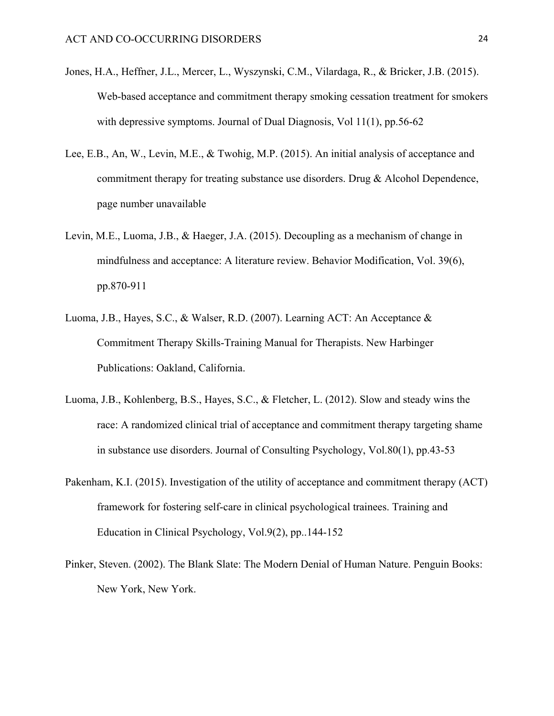- Jones, H.A., Heffner, J.L., Mercer, L., Wyszynski, C.M., Vilardaga, R., & Bricker, J.B. (2015). Web-based acceptance and commitment therapy smoking cessation treatment for smokers with depressive symptoms. Journal of Dual Diagnosis, Vol 11(1), pp.56-62
- Lee, E.B., An, W., Levin, M.E., & Twohig, M.P. (2015). An initial analysis of acceptance and commitment therapy for treating substance use disorders. Drug & Alcohol Dependence, page number unavailable
- Levin, M.E., Luoma, J.B., & Haeger, J.A. (2015). Decoupling as a mechanism of change in mindfulness and acceptance: A literature review. Behavior Modification, Vol. 39(6), pp.870-911
- Luoma, J.B., Hayes, S.C., & Walser, R.D. (2007). Learning ACT: An Acceptance & Commitment Therapy Skills-Training Manual for Therapists. New Harbinger Publications: Oakland, California.
- Luoma, J.B., Kohlenberg, B.S., Hayes, S.C., & Fletcher, L. (2012). Slow and steady wins the race: A randomized clinical trial of acceptance and commitment therapy targeting shame in substance use disorders. Journal of Consulting Psychology, Vol.80(1), pp.43-53
- Pakenham, K.I. (2015). Investigation of the utility of acceptance and commitment therapy (ACT) framework for fostering self-care in clinical psychological trainees. Training and Education in Clinical Psychology, Vol.9(2), pp..144-152
- Pinker, Steven. (2002). The Blank Slate: The Modern Denial of Human Nature. Penguin Books: New York, New York.